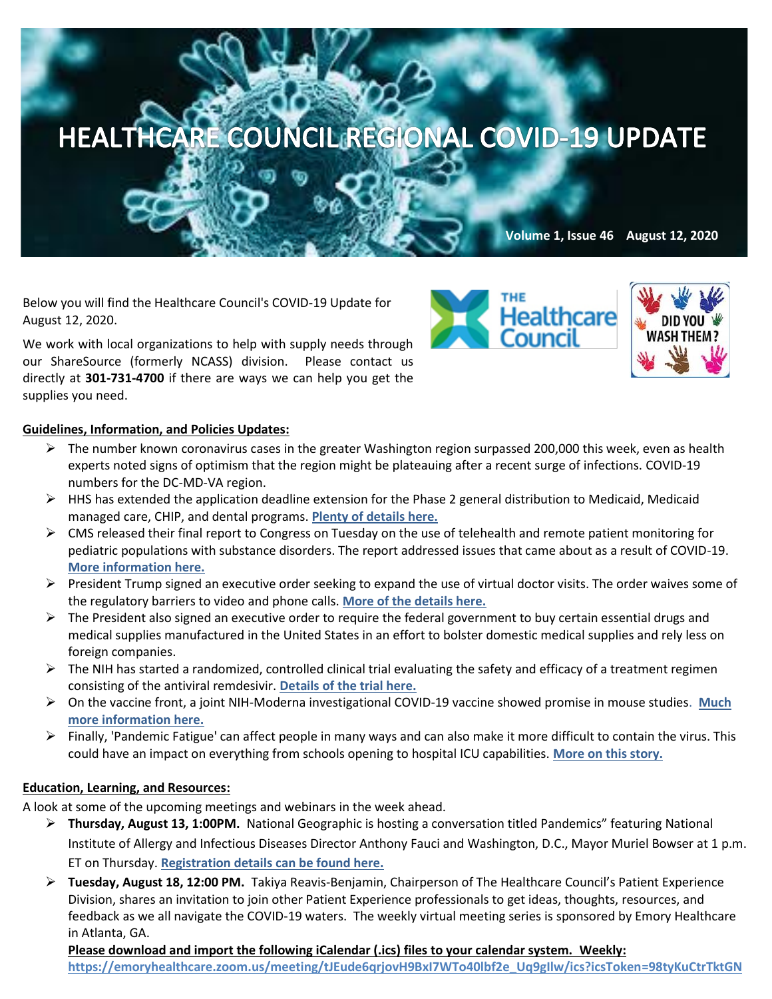## HEALTHCARE COUNCIL REGIONAL COVID-19 UPDATE

**Volume 1, Issue 46 August 12, 2020**

Below you will find the Healthcare Council's COVID-19 Update for August 12, 2020.

We work with local organizations to help with supply needs through our ShareSource (formerly NCASS) division. Please contact us directly at **301-731-4700** if there are ways we can help you get the supplies you need.





## **Guidelines, Information, and Policies Updates:**

- $\triangleright$  The number know[n coronavirus](https://www.washingtonpost.com/health/2020/02/28/what-you-need-know-about-coronavirus/?itid=lk_inline_manual_1#_blank) cases in the greater Washington region surpassed 200,000 this week, even as health experts noted signs of optimism that the region might be plateauing after a recent surge of infections. [COVID-19](https://wtop.com/coronavirus/2020/08/coronavirus-test-results-in-dc-maryland-and-virginia/)  [numbers for the DC-MD-VA region.](https://wtop.com/coronavirus/2020/08/coronavirus-test-results-in-dc-maryland-and-virginia/)
- $\triangleright$  HHS has extended the application deadline extension for the Phase 2 general distribution to Medicaid, Medicaid managed care, CHIP, and dental programs. **[Plenty of details here.](https://www.hhs.gov/about/news/2020/07/31/hhs-extends-application-deadline-for-medicaid-providers-and-plans-to-reopen-portal-to-certain-medicare-providers.html)**
- ➢ CMS released their final report to Congress on Tuesday on the use of telehealth and remote patient monitoring for pediatric populations with substance disorders. The report addressed issues that came about as a result of COVID-19. **[More information here.](https://content.govdelivery.com/accounts/USCMSMEDICAID/bulletins/299b9cc)**
- $\triangleright$  President Trump signed an executive order seeking to expand the use of virtual doctor visits. The order waives some of the regulatory barriers to video and phone calls. **[More of the details here.](https://thehill.com/policy/healthcare/510354-trump-signs-order-expanding-use-of-virtual-doctors?mkt_tok=eyJpIjoiT1RrMk5ETmlaRFZsWkRBdyIsInQiOiJ6cEFxT3drOERaOWpvK09MQVZLZ0xpNmtIYUxWVjhDME9rTVN2OTZaNWlRcEM4SjhkQnltMzVVTW9xMmRnYkdnaGRwdmdsUkRYQnlcLzVmR3ZwdXdXQUhWcXU4OENZRGdHdXVTQmNYN1d5VE0zclN4WTErZmtTWEhFa01hOEdRRDAifQ==)**
- $\triangleright$  The President also signed an executive order to require the federal government to buy certain essential drugs and [medical supplies](https://c.morningconsult.com/SA0A3z0WV050fTC0r00AM9U#_blank) manufactured in the United States in an effort to bolster domestic medical supplies and rely less on foreign companies.
- $\triangleright$  The NIH has started a randomized, controlled clinical trial evaluating the safety and efficacy of a treatment regimen consisting of the antiviral remdesivir. **[Details of the trial here.](https://www.nih.gov/news-events/news-releases/nih-clinical-trial-testing-remdesivir-plus-interferon-beta-1a-covid-19-treatment-begins)**
- ➢ On the vaccine front, a joint NIH-Moderna investigational COVID-19 vaccine showed promise in mouse studies. **[Much](https://www.nih.gov/news-events/news-releases/nih-moderna-investigational-covid-19-vaccine-shows-promise-mouse-studies)  [more information here.](https://www.nih.gov/news-events/news-releases/nih-moderna-investigational-covid-19-vaccine-shows-promise-mouse-studies)**
- $\triangleright$  Finally, 'Pandemic Fatigue' can affect people in many ways and can also make it more difficult to contain the virus. This could have an impact on everything from schools opening to hospital ICU capabilities. **[More on this story.](https://www.washingtonpost.com/health/with-no-end-to-the-pandemic-in-sight-coronavirus-fatigue-grips-america/2020/08/10/a959424c-d7fa-11ea-930e-d88518c57dcc_story.html)**

## **Education, Learning, and Resources:**

A look at some of the upcoming meetings and webinars in the week ahead.

- ➢ **Thursday, August 13, 1:00PM.** National Geographic is hosting a conversation titled Pandemics" featuring National Institute of Allergy and Infectious Diseases Director Anthony Fauci and Washington, D.C., Mayor Muriel Bowser at 1 p.m. ET on Thursday. **Registration detail[s can be found here.](https://stoppingpandemics.us17.list-manage.com/subscribe?u=1e16e79e9a4cb49603fdc2f43&id=7c1417e988)**
- ➢ **Tuesday, August 18, 12:00 PM.** Takiya Reavis-Benjamin, Chairperson of The Healthcare Council's Patient Experience Division, shares an invitation to join other Patient Experience professionals to get ideas, thoughts, resources, and feedback as we all navigate the COVID-19 waters. The weekly virtual meeting series is sponsored by Emory Healthcare in Atlanta, GA.

**Please download and import the following iCalendar (.ics) files to your calendar system. Weekly: [https://emoryhealthcare.zoom.us/meeting/tJEude6qrjovH9BxI7WTo40lbf2e\\_Uq9gIlw/ics?icsToken=98tyKuCtrTktGN](https://emoryhealthcare.zoom.us/meeting/tJEude6qrjovH9BxI7WTo40lbf2e_Uq9gIlw/ics?icsToken=98tyKuCtrTktGNSUtRyDRowMA4joKOrziH5Ygvp_hDayNBRcNlP6NOQQN41KAYHX)**